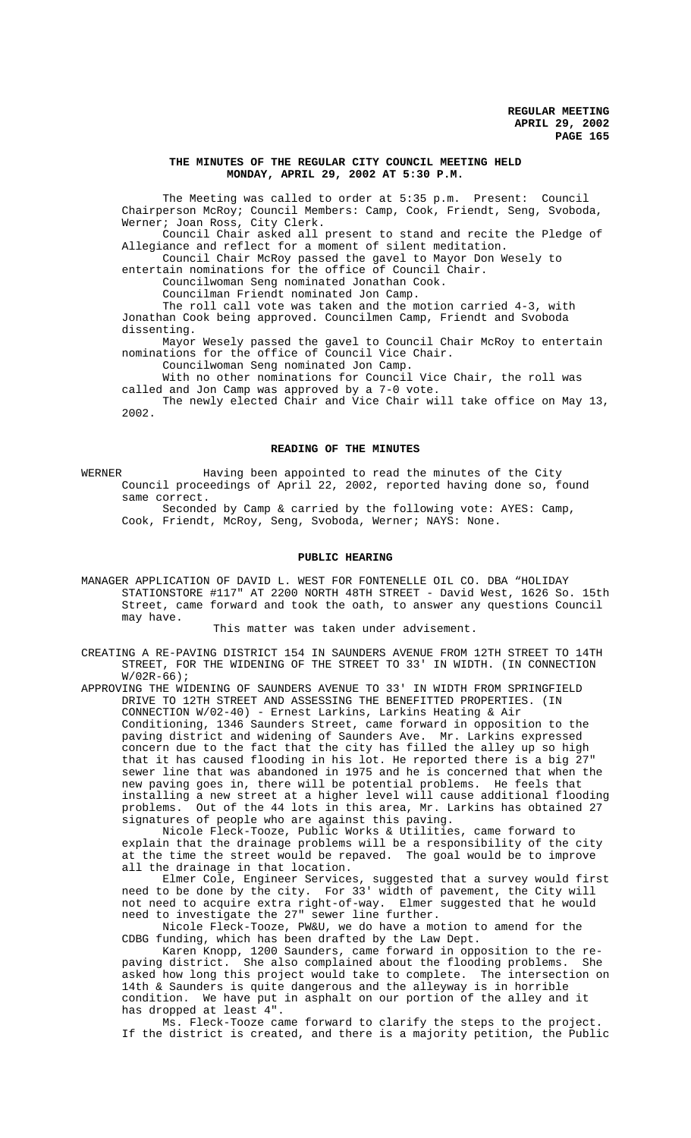## **THE MINUTES OF THE REGULAR CITY COUNCIL MEETING HELD MONDAY, APRIL 29, 2002 AT 5:30 P.M.**

The Meeting was called to order at 5:35 p.m. Present: Council Chairperson McRoy; Council Members: Camp, Cook, Friendt, Seng, Svoboda, Werner; Joan Ross, City Clerk.

Council Chair asked all present to stand and recite the Pledge of Allegiance and reflect for a moment of silent meditation.

Council Chair McRoy passed the gavel to Mayor Don Wesely to entertain nominations for the office of Council Chair.

Councilwoman Seng nominated Jonathan Cook.

Councilman Friendt nominated Jon Camp.

The roll call vote was taken and the motion carried 4-3, with

Jonathan Cook being approved. Councilmen Camp, Friendt and Svoboda dissenting.

Mayor Wesely passed the gavel to Council Chair McRoy to entertain nominations for the office of Council Vice Chair.

Councilwoman Seng nominated Jon Camp.

With no other nominations for Council Vice Chair, the roll was called and Jon Camp was approved by a 7-0 vote.

The newly elected Chair and Vice Chair will take office on May 13, 2002.

#### **READING OF THE MINUTES**

WERNER **Having been appointed to read the minutes of the City** Council proceedings of April 22, 2002, reported having done so, found same correct.

Seconded by Camp & carried by the following vote: AYES: Camp, Cook, Friendt, McRoy, Seng, Svoboda, Werner; NAYS: None.

# **PUBLIC HEARING**

MANAGER APPLICATION OF DAVID L. WEST FOR FONTENELLE OIL CO. DBA "HOLIDAY STATIONSTORE #117" AT 2200 NORTH 48TH STREET - David West, 1626 So. 15th Street, came forward and took the oath, to answer any questions Council may have.

This matter was taken under advisement.

CREATING A RE-PAVING DISTRICT 154 IN SAUNDERS AVENUE FROM 12TH STREET TO 14TH STREET, FOR THE WIDENING OF THE STREET TO 33' IN WIDTH. (IN CONNECTION  $W/02R-66$ ;

APPROVING THE WIDENING OF SAUNDERS AVENUE TO 33' IN WIDTH FROM SPRINGFIELD DRIVE TO 12TH STREET AND ASSESSING THE BENEFITTED PROPERTIES. (IN CONNECTION W/02-40) - Ernest Larkins, Larkins Heating & Air Conditioning, 1346 Saunders Street, came forward in opposition to the paving district and widening of Saunders Ave. Mr. Larkins expressed concern due to the fact that the city has filled the alley up so high that it has caused flooding in his lot. He reported there is a big 27" sewer line that was abandoned in 1975 and he is concerned that when the new paving goes in, there will be potential problems. He feels that installing a new street at a higher level will cause additional flooding problems. Out of the 44 lots in this area, Mr. Larkins has obtained 27 signatures of people who are against this paving.

Nicole Fleck-Tooze, Public Works & Utilities, came forward to explain that the drainage problems will be a responsibility of the city at the time the street would be repaved. The goal would be to improve all the drainage in that location.

Elmer Cole, Engineer Services, suggested that a survey would first need to be done by the city. For 33' width of pavement, the City will not need to acquire extra right-of-way. Elmer suggested that he would need to investigate the 27" sewer line further.

Nicole Fleck-Tooze, PW&U, we do have a motion to amend for the CDBG funding, which has been drafted by the Law Dept.

Karen Knopp, 1200 Saunders, came forward in opposition to the repaving district. She also complained about the flooding problems. She asked how long this project would take to complete. The intersection on 14th & Saunders is quite dangerous and the alleyway is in horrible condition. We have put in asphalt on our portion of the alley and it has dropped at least 4".

Ms. Fleck-Tooze came forward to clarify the steps to the project. If the district is created, and there is a majority petition, the Public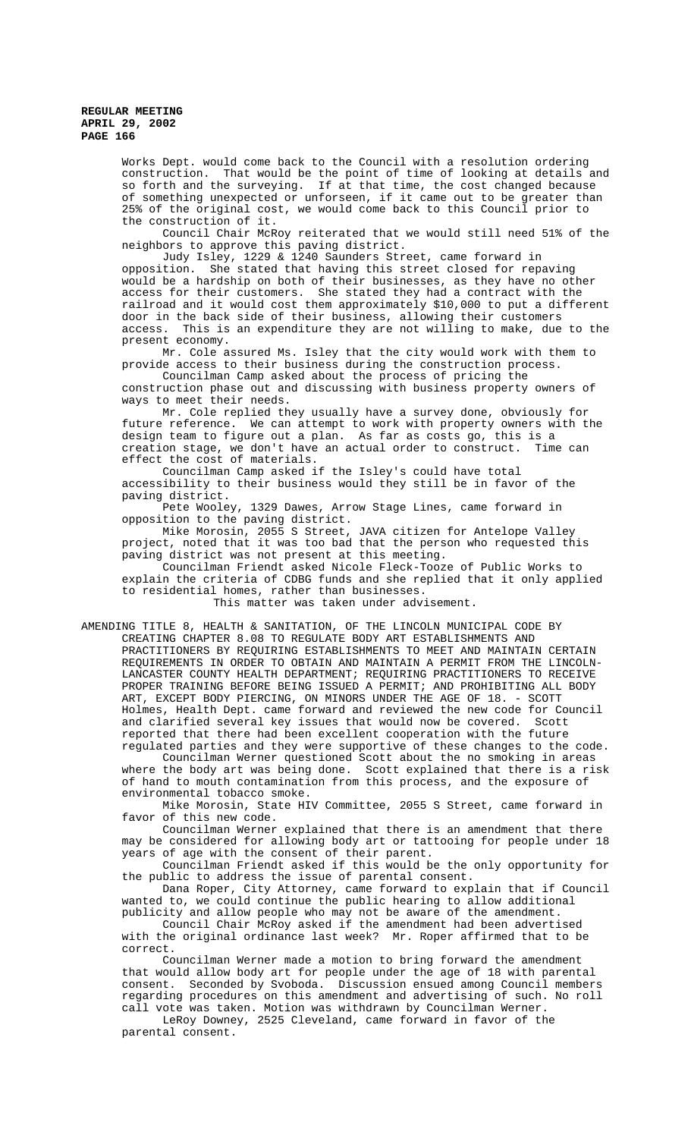> Works Dept. would come back to the Council with a resolution ordering construction. That would be the point of time of looking at details and so forth and the surveying. If at that time, the cost changed because of something unexpected or unforseen, if it came out to be greater than 25% of the original cost, we would come back to this Council prior to the construction of it.

> Council Chair McRoy reiterated that we would still need 51% of the neighbors to approve this paving district.

> Judy Isley, 1229 & 1240 Saunders Street, came forward in opposition. She stated that having this street closed for repaving would be a hardship on both of their businesses, as they have no other access for their customers. She stated they had a contract with the railroad and it would cost them approximately \$10,000 to put a different door in the back side of their business, allowing their customers access. This is an expenditure they are not willing to make, due to the present economy.

Mr. Cole assured Ms. Isley that the city would work with them to provide access to their business during the construction process.

Councilman Camp asked about the process of pricing the construction phase out and discussing with business property owners of ways to meet their needs.

Mr. Cole replied they usually have a survey done, obviously for future reference. We can attempt to work with property owners with the design team to figure out a plan. As far as costs go, this is a<br>creation stage, we don't have an actual order to construct. Time can creation stage, we don't have an actual order to construct. Time can effect the cost of materials.

Councilman Camp asked if the Isley's could have total accessibility to their business would they still be in favor of the paving district.

Pete Wooley, 1329 Dawes, Arrow Stage Lines, came forward in opposition to the paving district.

Mike Morosin, 2055 S Street, JAVA citizen for Antelope Valley project, noted that it was too bad that the person who requested this paving district was not present at this meeting.

Councilman Friendt asked Nicole Fleck-Tooze of Public Works to explain the criteria of CDBG funds and she replied that it only applied to residential homes, rather than businesses.

This matter was taken under advisement.

AMENDING TITLE 8, HEALTH & SANITATION, OF THE LINCOLN MUNICIPAL CODE BY CREATING CHAPTER 8.08 TO REGULATE BODY ART ESTABLISHMENTS AND PRACTITIONERS BY REQUIRING ESTABLISHMENTS TO MEET AND MAINTAIN CERTAIN REQUIREMENTS IN ORDER TO OBTAIN AND MAINTAIN A PERMIT FROM THE LINCOLN-LANCASTER COUNTY HEALTH DEPARTMENT; REQUIRING PRACTITIONERS TO RECEIVE PROPER TRAINING BEFORE BEING ISSUED A PERMIT; AND PROHIBITING ALL BODY ART, EXCEPT BODY PIERCING, ON MINORS UNDER THE AGE OF 18. - SCOTT Holmes, Health Dept. came forward and reviewed the new code for Council and clarified several key issues that would now be covered. Scott reported that there had been excellent cooperation with the future regulated parties and they were supportive of these changes to the code.

Councilman Werner questioned Scott about the no smoking in areas where the body art was being done. Scott explained that there is a risk of hand to mouth contamination from this process, and the exposure of environmental tobacco smoke.

Mike Morosin, State HIV Committee, 2055 S Street, came forward in favor of this new code.

Councilman Werner explained that there is an amendment that there may be considered for allowing body art or tattooing for people under 18 years of age with the consent of their parent.

Councilman Friendt asked if this would be the only opportunity for the public to address the issue of parental consent.

Dana Roper, City Attorney, came forward to explain that if Council wanted to, we could continue the public hearing to allow additional publicity and allow people who may not be aware of the amendment.

Council Chair McRoy asked if the amendment had been advertised with the original ordinance last week? Mr. Roper affirmed that to be correct.

 Councilman Werner made a motion to bring forward the amendment that would allow body art for people under the age of 18 with parental consent. Seconded by Svoboda. Discussion ensued among Council members regarding procedures on this amendment and advertising of such. No roll call vote was taken. Motion was withdrawn by Councilman Werner.

LeRoy Downey, 2525 Cleveland, came forward in favor of the parental consent.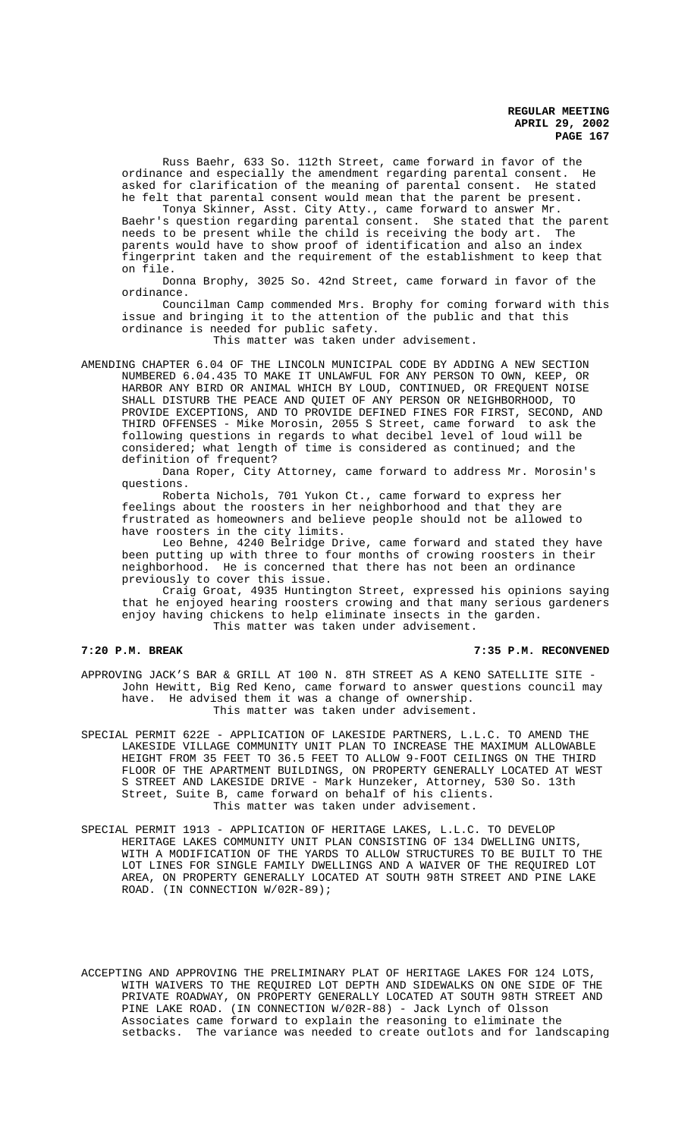Russ Baehr, 633 So. 112th Street, came forward in favor of the ordinance and especially the amendment regarding parental consent. He asked for clarification of the meaning of parental consent. He stated he felt that parental consent would mean that the parent be present.

Tonya Skinner, Asst. City Atty., came forward to answer Mr. Baehr's question regarding parental consent. She stated that the parent needs to be present while the child is receiving the body art. The parents would have to show proof of identification and also an index fingerprint taken and the requirement of the establishment to keep that on file.

Donna Brophy, 3025 So. 42nd Street, came forward in favor of the ordinance.

Councilman Camp commended Mrs. Brophy for coming forward with this issue and bringing it to the attention of the public and that this ordinance is needed for public safety.

This matter was taken under advisement.

AMENDING CHAPTER 6.04 OF THE LINCOLN MUNICIPAL CODE BY ADDING A NEW SECTION NUMBERED 6.04.435 TO MAKE IT UNLAWFUL FOR ANY PERSON TO OWN, KEEP, OR HARBOR ANY BIRD OR ANIMAL WHICH BY LOUD, CONTINUED, OR FREQUENT NOISE SHALL DISTURB THE PEACE AND QUIET OF ANY PERSON OR NEIGHBORHOOD, TO PROVIDE EXCEPTIONS, AND TO PROVIDE DEFINED FINES FOR FIRST, SECOND, AND THIRD OFFENSES - Mike Morosin, 2055 S Street, came forward to ask the following questions in regards to what decibel level of loud will be considered; what length of time is considered as continued; and the definition of frequent?

Dana Roper, City Attorney, came forward to address Mr. Morosin's questions.

Roberta Nichols, 701 Yukon Ct., came forward to express her feelings about the roosters in her neighborhood and that they are frustrated as homeowners and believe people should not be allowed to have roosters in the city limits.

Leo Behne, 4240 Belridge Drive, came forward and stated they have been putting up with three to four months of crowing roosters in their neighborhood. He is concerned that there has not been an ordinance previously to cover this issue.

Craig Groat, 4935 Huntington Street, expressed his opinions saying that he enjoyed hearing roosters crowing and that many serious gardeners enjoy having chickens to help eliminate insects in the garden. This matter was taken under advisement.

**7:20 P.M. BREAK 7:35 P.M. RECONVENED**

APPROVING JACK'S BAR & GRILL AT 100 N. 8TH STREET AS A KENO SATELLITE SITE - John Hewitt, Big Red Keno, came forward to answer questions council may have. He advised them it was a change of ownership. This matter was taken under advisement.

SPECIAL PERMIT 622E - APPLICATION OF LAKESIDE PARTNERS, L.L.C. TO AMEND THE LAKESIDE VILLAGE COMMUNITY UNIT PLAN TO INCREASE THE MAXIMUM ALLOWABLE HEIGHT FROM 35 FEET TO 36.5 FEET TO ALLOW 9-FOOT CEILINGS ON THE THIRD FLOOR OF THE APARTMENT BUILDINGS, ON PROPERTY GENERALLY LOCATED AT WEST S STREET AND LAKESIDE DRIVE - Mark Hunzeker, Attorney, 530 So. 13th Street, Suite B, came forward on behalf of his clients. This matter was taken under advisement.

SPECIAL PERMIT 1913 - APPLICATION OF HERITAGE LAKES, L.L.C. TO DEVELOP HERITAGE LAKES COMMUNITY UNIT PLAN CONSISTING OF 134 DWELLING UNITS, WITH A MODIFICATION OF THE YARDS TO ALLOW STRUCTURES TO BE BUILT TO THE LOT LINES FOR SINGLE FAMILY DWELLINGS AND A WAIVER OF THE REQUIRED LOT AREA, ON PROPERTY GENERALLY LOCATED AT SOUTH 98TH STREET AND PINE LAKE ROAD. (IN CONNECTION W/02R-89);

ACCEPTING AND APPROVING THE PRELIMINARY PLAT OF HERITAGE LAKES FOR 124 LOTS, WITH WAIVERS TO THE REQUIRED LOT DEPTH AND SIDEWALKS ON ONE SIDE OF THE PRIVATE ROADWAY, ON PROPERTY GENERALLY LOCATED AT SOUTH 98TH STREET AND PINE LAKE ROAD. (IN CONNECTION W/02R-88) - Jack Lynch of Olsson Associates came forward to explain the reasoning to eliminate the setbacks. The variance was needed to create outlots and for landscaping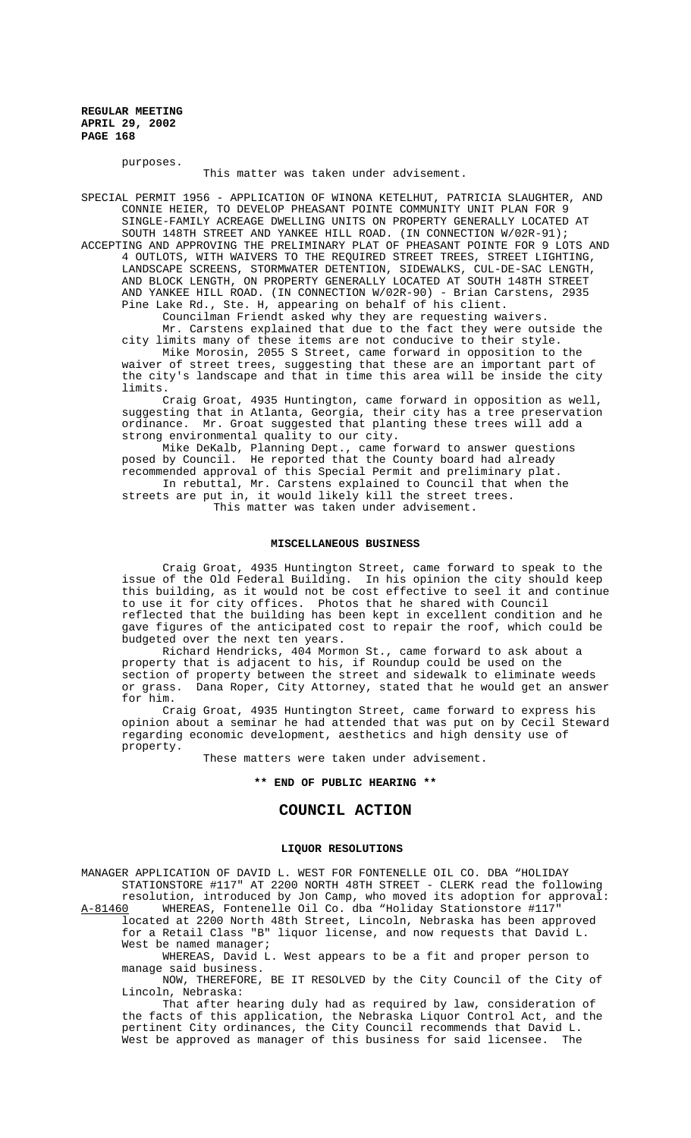purposes.

This matter was taken under advisement.

SPECIAL PERMIT 1956 - APPLICATION OF WINONA KETELHUT, PATRICIA SLAUGHTER, AND CONNIE HEIER, TO DEVELOP PHEASANT POINTE COMMUNITY UNIT PLAN FOR 9 SINGLE-FAMILY ACREAGE DWELLING UNITS ON PROPERTY GENERALLY LOCATED AT SOUTH 148TH STREET AND YANKEE HILL ROAD. (IN CONNECTION W/02R-91); ACCEPTING AND APPROVING THE PRELIMINARY PLAT OF PHEASANT POINTE FOR 9 LOTS AND 4 OUTLOTS, WITH WAIVERS TO THE REQUIRED STREET TREES, STREET LIGHTING, LANDSCAPE SCREENS, STORMWATER DETENTION, SIDEWALKS, CUL-DE-SAC LENGTH, AND BLOCK LENGTH, ON PROPERTY GENERALLY LOCATED AT SOUTH 148TH STREET AND YANKEE HILL ROAD. (IN CONNECTION W/02R-90) - Brian Carstens, 2935 Pine Lake Rd., Ste. H, appearing on behalf of his client. Councilman Friendt asked why they are requesting waivers.

Mr. Carstens explained that due to the fact they were outside the city limits many of these items are not conducive to their style.

Mike Morosin, 2055 S Street, came forward in opposition to the waiver of street trees, suggesting that these are an important part of the city's landscape and that in time this area will be inside the city limits.

Craig Groat, 4935 Huntington, came forward in opposition as well, suggesting that in Atlanta, Georgia, their city has a tree preservation ordinance. Mr. Groat suggested that planting these trees will add a strong environmental quality to our city.

Mike DeKalb, Planning Dept., came forward to answer questions posed by Council. He reported that the County board had already recommended approval of this Special Permit and preliminary plat.

In rebuttal, Mr. Carstens explained to Council that when the streets are put in, it would likely kill the street trees. This matter was taken under advisement.

#### **MISCELLANEOUS BUSINESS**

Craig Groat, 4935 Huntington Street, came forward to speak to the issue of the Old Federal Building. In his opinion the city should keep this building, as it would not be cost effective to seel it and continue to use it for city offices. Photos that he shared with Council reflected that the building has been kept in excellent condition and he gave figures of the anticipated cost to repair the roof, which could be budgeted over the next ten years.

Richard Hendricks, 404 Mormon St., came forward to ask about a property that is adjacent to his, if Roundup could be used on the section of property between the street and sidewalk to eliminate weeds or grass. Dana Roper, City Attorney, stated that he would get an answer for him.

Craig Groat, 4935 Huntington Street, came forward to express his opinion about a seminar he had attended that was put on by Cecil Steward regarding economic development, aesthetics and high density use of property.

These matters were taken under advisement.

#### **\*\* END OF PUBLIC HEARING \*\***

# **COUNCIL ACTION**

## **LIQUOR RESOLUTIONS**

MANAGER APPLICATION OF DAVID L. WEST FOR FONTENELLE OIL CO. DBA "HOLIDAY STATIONSTORE #117" AT 2200 NORTH 48TH STREET - CLERK read the following resolution, introduced by Jon Camp, who moved its adoption for approval:

A-81460 WHEREAS, Fontenelle Oil Co. dba "Holiday Stationstore #117" located at 2200 North 48th Street, Lincoln, Nebraska has been approved for a Retail Class "B" liquor license, and now requests that David L. West be named manager;

WHEREAS, David L. West appears to be a fit and proper person to manage said business.

NOW, THEREFORE, BE IT RESOLVED by the City Council of the City of Lincoln, Nebraska:

That after hearing duly had as required by law, consideration of the facts of this application, the Nebraska Liquor Control Act, and the pertinent City ordinances, the City Council recommends that David L. West be approved as manager of this business for said licensee. The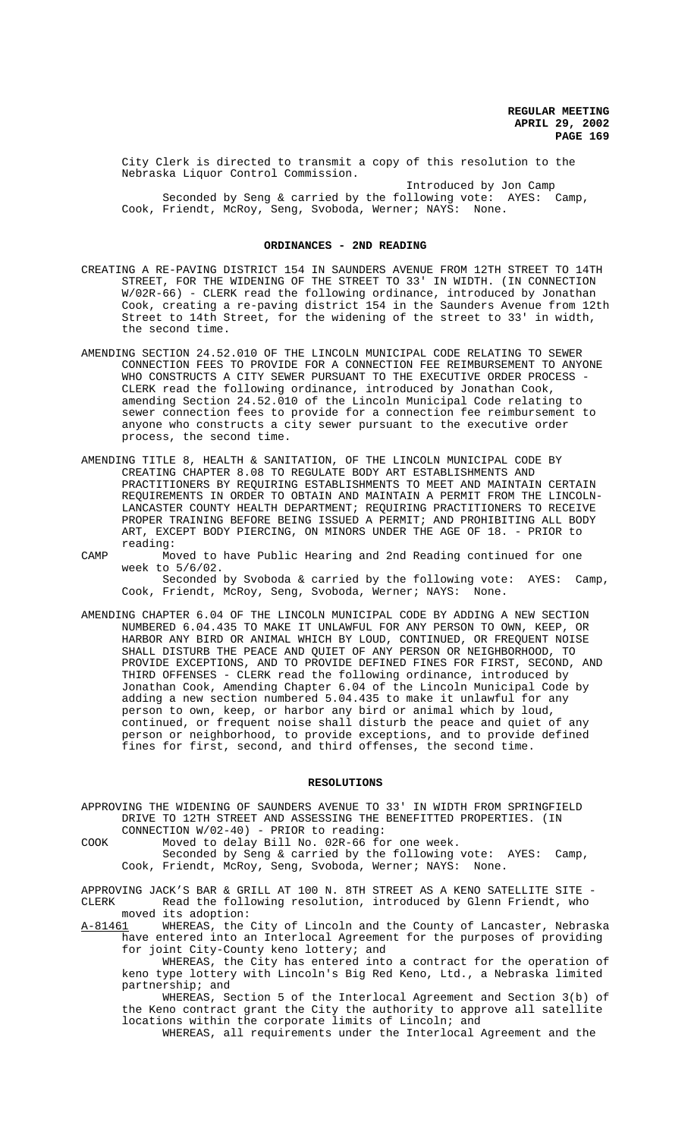City Clerk is directed to transmit a copy of this resolution to the Nebraska Liquor Control Commission.

Introduced by Jon Camp Seconded by Seng & carried by the following vote: AYES: Camp, Cook, Friendt, McRoy, Seng, Svoboda, Werner; NAYS: None.

#### **ORDINANCES - 2ND READING**

- CREATING A RE-PAVING DISTRICT 154 IN SAUNDERS AVENUE FROM 12TH STREET TO 14TH STREET, FOR THE WIDENING OF THE STREET TO 33' IN WIDTH. (IN CONNECTION W/02R-66) - CLERK read the following ordinance, introduced by Jonathan Cook, creating a re-paving district 154 in the Saunders Avenue from 12th Street to 14th Street, for the widening of the street to 33' in width, the second time.
- AMENDING SECTION 24.52.010 OF THE LINCOLN MUNICIPAL CODE RELATING TO SEWER CONNECTION FEES TO PROVIDE FOR A CONNECTION FEE REIMBURSEMENT TO ANYONE WHO CONSTRUCTS A CITY SEWER PURSUANT TO THE EXECUTIVE ORDER PROCESS -CLERK read the following ordinance, introduced by Jonathan Cook, amending Section 24.52.010 of the Lincoln Municipal Code relating to sewer connection fees to provide for a connection fee reimbursement to anyone who constructs a city sewer pursuant to the executive order process, the second time.
- AMENDING TITLE 8, HEALTH & SANITATION, OF THE LINCOLN MUNICIPAL CODE BY CREATING CHAPTER 8.08 TO REGULATE BODY ART ESTABLISHMENTS AND PRACTITIONERS BY REQUIRING ESTABLISHMENTS TO MEET AND MAINTAIN CERTAIN REQUIREMENTS IN ORDER TO OBTAIN AND MAINTAIN A PERMIT FROM THE LINCOLN-LANCASTER COUNTY HEALTH DEPARTMENT; REQUIRING PRACTITIONERS TO RECEIVE PROPER TRAINING BEFORE BEING ISSUED A PERMIT; AND PROHIBITING ALL BODY ART, EXCEPT BODY PIERCING, ON MINORS UNDER THE AGE OF 18. - PRIOR to reading:
- CAMP Moved to have Public Hearing and 2nd Reading continued for one week to 5/6/02. Seconded by Svoboda & carried by the following vote: AYES: Camp, Cook, Friendt, McRoy, Seng, Svoboda, Werner; NAYS: None.
- AMENDING CHAPTER 6.04 OF THE LINCOLN MUNICIPAL CODE BY ADDING A NEW SECTION NUMBERED 6.04.435 TO MAKE IT UNLAWFUL FOR ANY PERSON TO OWN, KEEP, OR HARBOR ANY BIRD OR ANIMAL WHICH BY LOUD, CONTINUED, OR FREQUENT NOISE SHALL DISTURB THE PEACE AND QUIET OF ANY PERSON OR NEIGHBORHOOD, TO PROVIDE EXCEPTIONS, AND TO PROVIDE DEFINED FINES FOR FIRST, SECOND, AND THIRD OFFENSES - CLERK read the following ordinance, introduced by Jonathan Cook, Amending Chapter 6.04 of the Lincoln Municipal Code by adding a new section numbered 5.04.435 to make it unlawful for any person to own, keep, or harbor any bird or animal which by loud, continued, or frequent noise shall disturb the peace and quiet of any person or neighborhood, to provide exceptions, and to provide defined fines for first, second, and third offenses, the second time.

#### **RESOLUTIONS**

APPROVING THE WIDENING OF SAUNDERS AVENUE TO 33' IN WIDTH FROM SPRINGFIELD DRIVE TO 12TH STREET AND ASSESSING THE BENEFITTED PROPERTIES. (IN CONNECTION W/02-40) - PRIOR to reading:

COOK Moved to delay Bill No. 02R-66 for one week.

Seconded by Seng & carried by the following vote: AYES: Camp, Cook, Friendt, McRoy, Seng, Svoboda, Werner; NAYS: None.

APPROVING JACK'S BAR & GRILL AT 100 N. 8TH STREET AS A KENO SATELLITE SITE - CLERK Read the following resolution, introduced by Glenn Friendt, who moved its adoption:

A-81461 WHEREAS, the City of Lincoln and the County of Lancaster, Nebraska have entered into an Interlocal Agreement for the purposes of providing for joint City-County keno lottery; and

WHEREAS, the City has entered into a contract for the operation of keno type lottery with Lincoln's Big Red Keno, Ltd., a Nebraska limited partnership; and

WHEREAS, Section 5 of the Interlocal Agreement and Section 3(b) of the Keno contract grant the City the authority to approve all satellite locations within the corporate limits of Lincoln; and

WHEREAS, all requirements under the Interlocal Agreement and the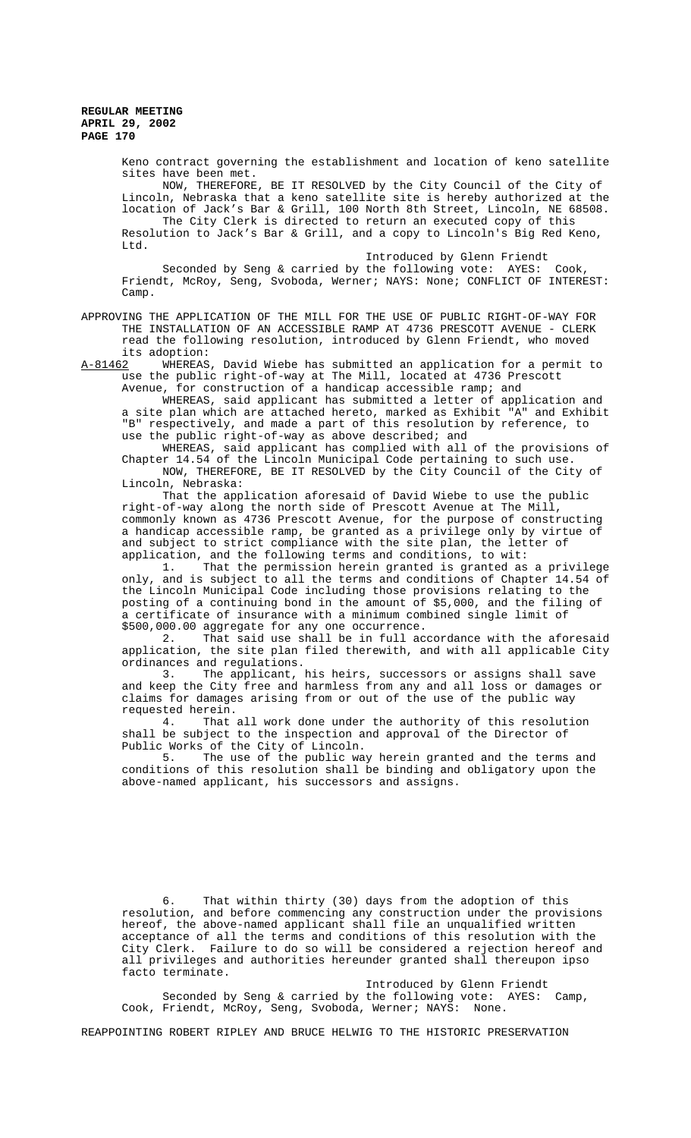> Keno contract governing the establishment and location of keno satellite sites have been met. NOW, THEREFORE, BE IT RESOLVED by the City Council of the City of

> Lincoln, Nebraska that a keno satellite site is hereby authorized at the location of Jack's Bar & Grill, 100 North 8th Street, Lincoln, NE 68508. The City Clerk is directed to return an executed copy of this Resolution to Jack's Bar & Grill, and a copy to Lincoln's Big Red Keno, Ltd.

> Introduced by Glenn Friendt Seconded by Seng & carried by the following vote: AYES: Cook, Friendt, McRoy, Seng, Svoboda, Werner; NAYS: None; CONFLICT OF INTEREST: Camp.

# APPROVING THE APPLICATION OF THE MILL FOR THE USE OF PUBLIC RIGHT-OF-WAY FOR THE INSTALLATION OF AN ACCESSIBLE RAMP AT 4736 PRESCOTT AVENUE - CLERK read the following resolution, introduced by Glenn Friendt, who moved its adoption:

A-81462 WHEREAS, David Wiebe has submitted an application for a permit to use the public right-of-way at The Mill, located at 4736 Prescott Avenue, for construction of a handicap accessible ramp; and

WHEREAS, said applicant has submitted a letter of application and a site plan which are attached hereto, marked as Exhibit "A" and Exhibit "B" respectively, and made a part of this resolution by reference, to use the public right-of-way as above described; and

WHEREAS, said applicant has complied with all of the provisions of Chapter 14.54 of the Lincoln Municipal Code pertaining to such use. NOW, THEREFORE, BE IT RESOLVED by the City Council of the City of Lincoln, Nebraska:

That the application aforesaid of David Wiebe to use the public right-of-way along the north side of Prescott Avenue at The Mill, commonly known as 4736 Prescott Avenue, for the purpose of constructing a handicap accessible ramp, be granted as a privilege only by virtue of and subject to strict compliance with the site plan, the letter of application, and the following terms and conditions, to wit:

1. That the permission herein granted is granted as a privilege only, and is subject to all the terms and conditions of Chapter 14.54 of the Lincoln Municipal Code including those provisions relating to the posting of a continuing bond in the amount of \$5,000, and the filing of a certificate of insurance with a minimum combined single limit of \$500,000.00 aggregate for any one occurrence.

2. That said use shall be in full accordance with the aforesaid application, the site plan filed therewith, and with all applicable City ordinances and regulations.

3. The applicant, his heirs, successors or assigns shall save and keep the City free and harmless from any and all loss or damages or claims for damages arising from or out of the use of the public way

requested herein.<br>4. That That all work done under the authority of this resolution shall be subject to the inspection and approval of the Director of Public Works of the City of Lincoln.<br>5. The use of the public wa

The use of the public way herein granted and the terms and conditions of this resolution shall be binding and obligatory upon the above-named applicant, his successors and assigns.

6. That within thirty (30) days from the adoption of this resolution, and before commencing any construction under the provisions hereof, the above-named applicant shall file an unqualified written acceptance of all the terms and conditions of this resolution with the City Clerk. Failure to do so will be considered a rejection hereof and all privileges and authorities hereunder granted shall thereupon ipso facto terminate.

Introduced by Glenn Friendt Seconded by Seng & carried by the following vote: AYES: Camp, Cook, Friendt, McRoy, Seng, Svoboda, Werner; NAYS: None.

REAPPOINTING ROBERT RIPLEY AND BRUCE HELWIG TO THE HISTORIC PRESERVATION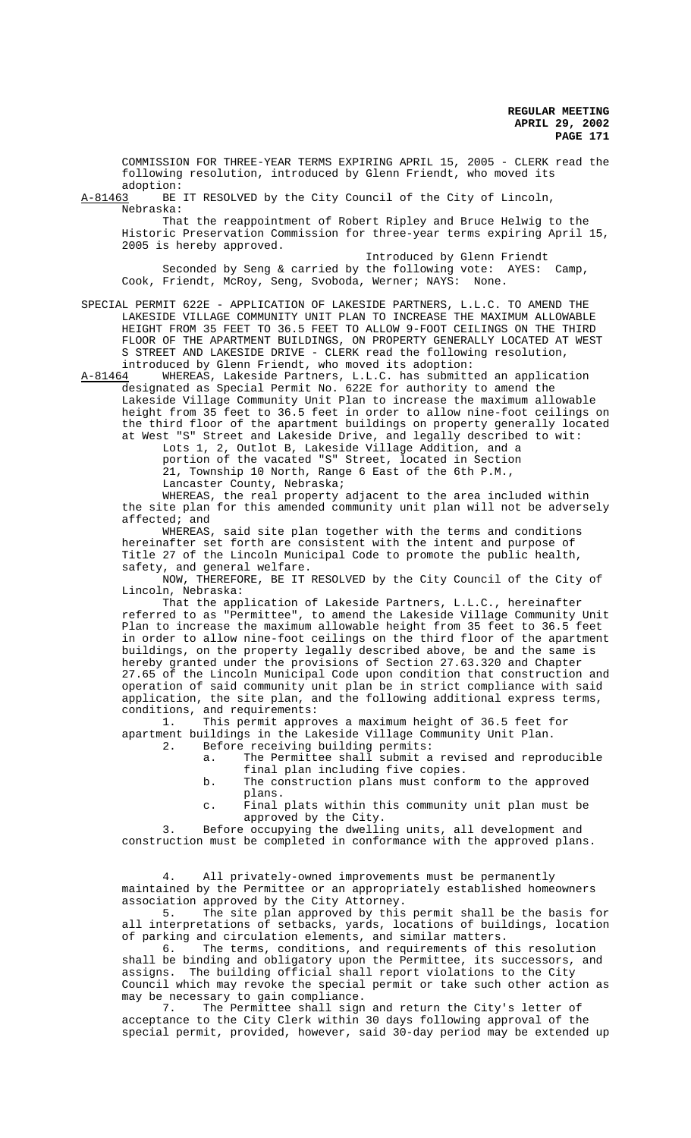COMMISSION FOR THREE-YEAR TERMS EXPIRING APRIL 15, 2005 - CLERK read the following resolution, introduced by Glenn Friendt, who moved its

adoption:<br>A-81463 BE BE IT RESOLVED by the City Council of the City of Lincoln, Nebraska:

That the reappointment of Robert Ripley and Bruce Helwig to the Historic Preservation Commission for three-year terms expiring April 15, 2005 is hereby approved.

Introduced by Glenn Friendt Seconded by Seng & carried by the following vote: AYES: Camp, Cook, Friendt, McRoy, Seng, Svoboda, Werner; NAYS: None.

SPECIAL PERMIT 622E - APPLICATION OF LAKESIDE PARTNERS, L.L.C. TO AMEND THE LAKESIDE VILLAGE COMMUNITY UNIT PLAN TO INCREASE THE MAXIMUM ALLOWABLE HEIGHT FROM 35 FEET TO 36.5 FEET TO ALLOW 9-FOOT CEILINGS ON THE THIRD FLOOR OF THE APARTMENT BUILDINGS, ON PROPERTY GENERALLY LOCATED AT WEST S STREET AND LAKESIDE DRIVE - CLERK read the following resolution, introduced by Glenn Friendt, who moved its adoption:

A-81464 MHEREAS, Lakeside Partners, L.L.C. has submitted an application designated as Special Permit No. 622E for authority to amend the Lakeside Village Community Unit Plan to increase the maximum allowable height from 35 feet to 36.5 feet in order to allow nine-foot ceilings on the third floor of the apartment buildings on property generally located at West "S" Street and Lakeside Drive, and legally described to wit:

Lots 1, 2, Outlot B, Lakeside Village Addition, and a portion of the vacated "S" Street, located in Section 21, Township 10 North, Range 6 East of the 6th P.M., Lancaster County, Nebraska;

WHEREAS, the real property adjacent to the area included within the site plan for this amended community unit plan will not be adversely affected; and

WHEREAS, said site plan together with the terms and conditions hereinafter set forth are consistent with the intent and purpose of Title 27 of the Lincoln Municipal Code to promote the public health, safety, and general welfare.

NOW, THEREFORE, BE IT RESOLVED by the City Council of the City of Lincoln, Nebraska:

That the application of Lakeside Partners, L.L.C., hereinafter referred to as "Permittee", to amend the Lakeside Village Community Unit Plan to increase the maximum allowable height from 35 feet to 36.5 feet in order to allow nine-foot ceilings on the third floor of the apartment buildings, on the property legally described above, be and the same is hereby granted under the provisions of Section 27.63.320 and Chapter 27.65 of the Lincoln Municipal Code upon condition that construction and operation of said community unit plan be in strict compliance with said application, the site plan, and the following additional express terms, conditions, and requirements:

1. This permit approves a maximum height of 36.5 feet for apartment buildings in the Lakeside Village Community Unit Plan.<br>2. Before receiving building permits:

- Before receiving building permits:
	- a. The Permittee shall submit a revised and reproducible final plan including five copies.
	- b. The construction plans must conform to the approved plans.
	- c. Final plats within this community unit plan must be approved by the City.

3. Before occupying the dwelling units, all development and construction must be completed in conformance with the approved plans.

4. All privately-owned improvements must be permanently maintained by the Permittee or an appropriately established homeowners association approved by the City Attorney.

5. The site plan approved by this permit shall be the basis for all interpretations of setbacks, yards, locations of buildings, location of parking and circulation elements, and similar matters.

6. The terms, conditions, and requirements of this resolution shall be binding and obligatory upon the Permittee, its successors, and assigns. The building official shall report violations to the City Council which may revoke the special permit or take such other action as may be necessary to gain compliance.

7. The Permittee shall sign and return the City's letter of acceptance to the City Clerk within 30 days following approval of the special permit, provided, however, said 30-day period may be extended up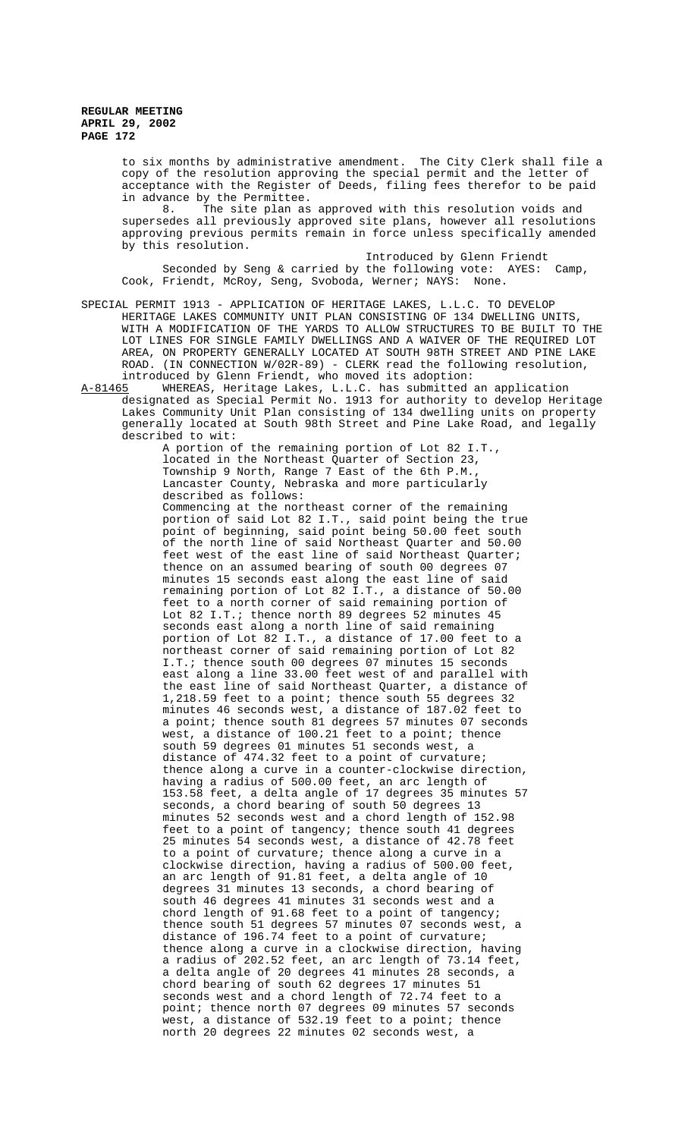to six months by administrative amendment. The City Clerk shall file a copy of the resolution approving the special permit and the letter of acceptance with the Register of Deeds, filing fees therefor to be paid in advance by the Permittee.

8. The site plan as approved with this resolution voids and supersedes all previously approved site plans, however all resolutions approving previous permits remain in force unless specifically amended by this resolution.

Introduced by Glenn Friendt Seconded by Seng & carried by the following vote: AYES: Camp, Cook, Friendt, McRoy, Seng, Svoboda, Werner; NAYS: None.

SPECIAL PERMIT 1913 - APPLICATION OF HERITAGE LAKES, L.L.C. TO DEVELOP HERITAGE LAKES COMMUNITY UNIT PLAN CONSISTING OF 134 DWELLING UNITS, WITH A MODIFICATION OF THE YARDS TO ALLOW STRUCTURES TO BE BUILT TO THE LOT LINES FOR SINGLE FAMILY DWELLINGS AND A WAIVER OF THE REQUIRED LOT AREA, ON PROPERTY GENERALLY LOCATED AT SOUTH 98TH STREET AND PINE LAKE ROAD. (IN CONNECTION W/02R-89) - CLERK read the following resolution, introduced by Glenn Friendt, who moved its adoption:

A-81465 WHEREAS, Heritage Lakes, L.L.C. has submitted an application designated as Special Permit No. 1913 for authority to develop Heritage Lakes Community Unit Plan consisting of 134 dwelling units on property generally located at South 98th Street and Pine Lake Road, and legally described to wit:

A portion of the remaining portion of Lot 82 I.T., located in the Northeast Quarter of Section 23, Township 9 North, Range 7 East of the 6th P.M., Lancaster County, Nebraska and more particularly described as follows: Commencing at the northeast corner of the remaining portion of said Lot 82 I.T., said point being the true point of beginning, said point being 50.00 feet south of the north line of said Northeast Quarter and 50.00 feet west of the east line of said Northeast Quarter; thence on an assumed bearing of south 00 degrees 07 minutes 15 seconds east along the east line of said remaining portion of Lot 82 I.T., a distance of 50.00 feet to a north corner of said remaining portion of Lot 82 I.T.; thence north 89 degrees 52 minutes 45 seconds east along a north line of said remaining portion of Lot 82 I.T., a distance of 17.00 feet to a northeast corner of said remaining portion of Lot 82 I.T.; thence south 00 degrees 07 minutes 15 seconds east along a line 33.00 feet west of and parallel with the east line of said Northeast Quarter, a distance of 1,218.59 feet to a point; thence south 55 degrees 32 minutes 46 seconds west, a distance of 187.02 feet to a point; thence south 81 degrees 57 minutes 07 seconds west, a distance of 100.21 feet to a point; thence south 59 degrees 01 minutes 51 seconds west, a distance of 474.32 feet to a point of curvature; thence along a curve in a counter-clockwise direction, having a radius of 500.00 feet, an arc length of 153.58 feet, a delta angle of 17 degrees 35 minutes 57 seconds, a chord bearing of south 50 degrees 13 minutes 52 seconds west and a chord length of 152.98 feet to a point of tangency; thence south 41 degrees 25 minutes 54 seconds west, a distance of 42.78 feet to a point of curvature; thence along a curve in a clockwise direction, having a radius of 500.00 feet, an arc length of 91.81 feet, a delta angle of 10 degrees 31 minutes 13 seconds, a chord bearing of south 46 degrees 41 minutes 31 seconds west and a chord length of 91.68 feet to a point of tangency; thence south 51 degrees 57 minutes 07 seconds west, a distance of 196.74 feet to a point of curvature; thence along a curve in a clockwise direction, having a radius of 202.52 feet, an arc length of 73.14 feet, a delta angle of 20 degrees 41 minutes 28 seconds, a chord bearing of south 62 degrees 17 minutes 51 seconds west and a chord length of 72.74 feet to a point; thence north 07 degrees 09 minutes 57 seconds west, a distance of 532.19 feet to a point; thence north 20 degrees 22 minutes 02 seconds west, a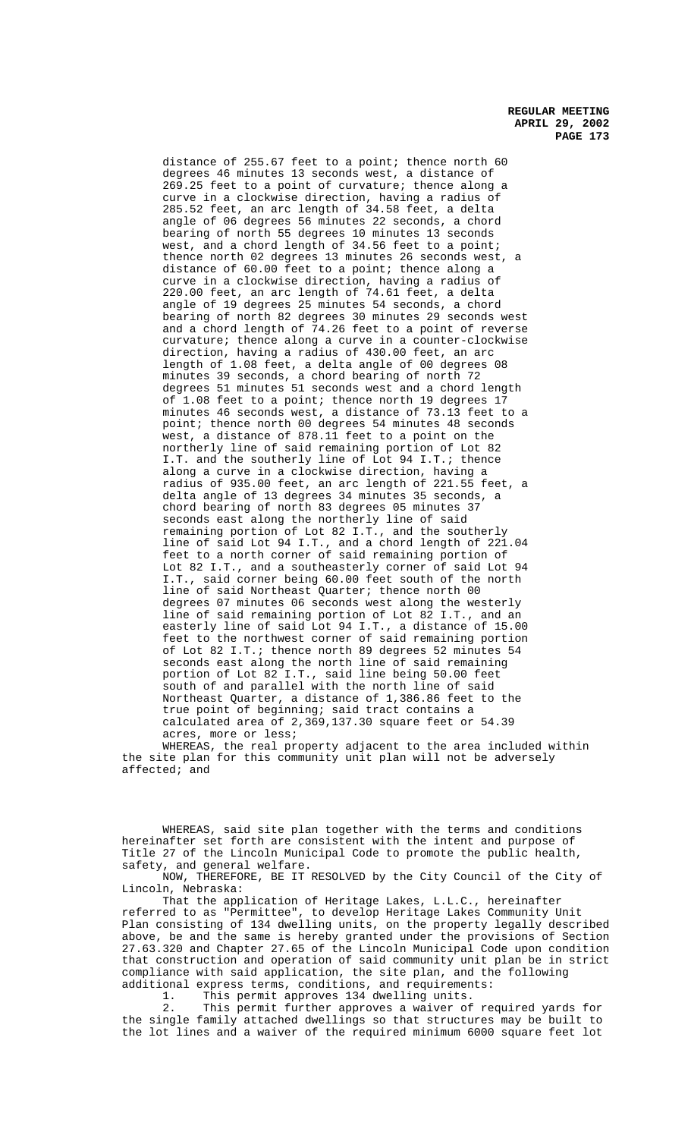distance of 255.67 feet to a point; thence north 60 degrees 46 minutes 13 seconds west, a distance of 269.25 feet to a point of curvature; thence along a curve in a clockwise direction, having a radius of 285.52 feet, an arc length of 34.58 feet, a delta angle of 06 degrees 56 minutes 22 seconds, a chord bearing of north 55 degrees 10 minutes 13 seconds west, and a chord length of 34.56 feet to a point; thence north 02 degrees 13 minutes 26 seconds west, a distance of 60.00 feet to a point; thence along a curve in a clockwise direction, having a radius of 220.00 feet, an arc length of 74.61 feet, a delta angle of 19 degrees 25 minutes 54 seconds, a chord bearing of north 82 degrees 30 minutes 29 seconds west and a chord length of 74.26 feet to a point of reverse curvature; thence along a curve in a counter-clockwise direction, having a radius of 430.00 feet, an arc length of 1.08 feet, a delta angle of 00 degrees 08 minutes 39 seconds, a chord bearing of north 72 degrees 51 minutes 51 seconds west and a chord length of 1.08 feet to a point; thence north 19 degrees 17 minutes 46 seconds west, a distance of 73.13 feet to a point; thence north 00 degrees 54 minutes 48 seconds west, a distance of 878.11 feet to a point on the northerly line of said remaining portion of Lot 82 I.T. and the southerly line of Lot 94 I.T.; thence along a curve in a clockwise direction, having a radius of 935.00 feet, an arc length of 221.55 feet, a delta angle of 13 degrees 34 minutes 35 seconds, a chord bearing of north 83 degrees 05 minutes 37 seconds east along the northerly line of said remaining portion of Lot 82 I.T., and the southerly line of said Lot 94 I.T., and a chord length of 221.04 feet to a north corner of said remaining portion of Lot 82 I.T., and a southeasterly corner of said Lot 94 I.T., said corner being 60.00 feet south of the north line of said Northeast Quarter; thence north 00 degrees 07 minutes 06 seconds west along the westerly line of said remaining portion of Lot 82 I.T., and an easterly line of said Lot 94 I.T., a distance of 15.00 feet to the northwest corner of said remaining portion of Lot 82 I.T.; thence north 89 degrees 52 minutes 54 seconds east along the north line of said remaining portion of Lot 82 I.T., said line being 50.00 feet south of and parallel with the north line of said Northeast Quarter, a distance of 1,386.86 feet to the true point of beginning; said tract contains a calculated area of 2,369,137.30 square feet or 54.39 acres, more or less;

WHEREAS, the real property adjacent to the area included within the site plan for this community unit plan will not be adversely affected; and

WHEREAS, said site plan together with the terms and conditions hereinafter set forth are consistent with the intent and purpose of Title 27 of the Lincoln Municipal Code to promote the public health, safety, and general welfare.

NOW, THEREFORE, BE IT RESOLVED by the City Council of the City of Lincoln, Nebraska:

That the application of Heritage Lakes, L.L.C., hereinafter referred to as "Permittee", to develop Heritage Lakes Community Unit Plan consisting of 134 dwelling units, on the property legally described above, be and the same is hereby granted under the provisions of Section 27.63.320 and Chapter 27.65 of the Lincoln Municipal Code upon condition that construction and operation of said community unit plan be in strict compliance with said application, the site plan, and the following additional express terms, conditions, and requirements:

1. This permit approves 134 dwelling units.

2. This permit further approves a waiver of required yards for the single family attached dwellings so that structures may be built to the lot lines and a waiver of the required minimum 6000 square feet lot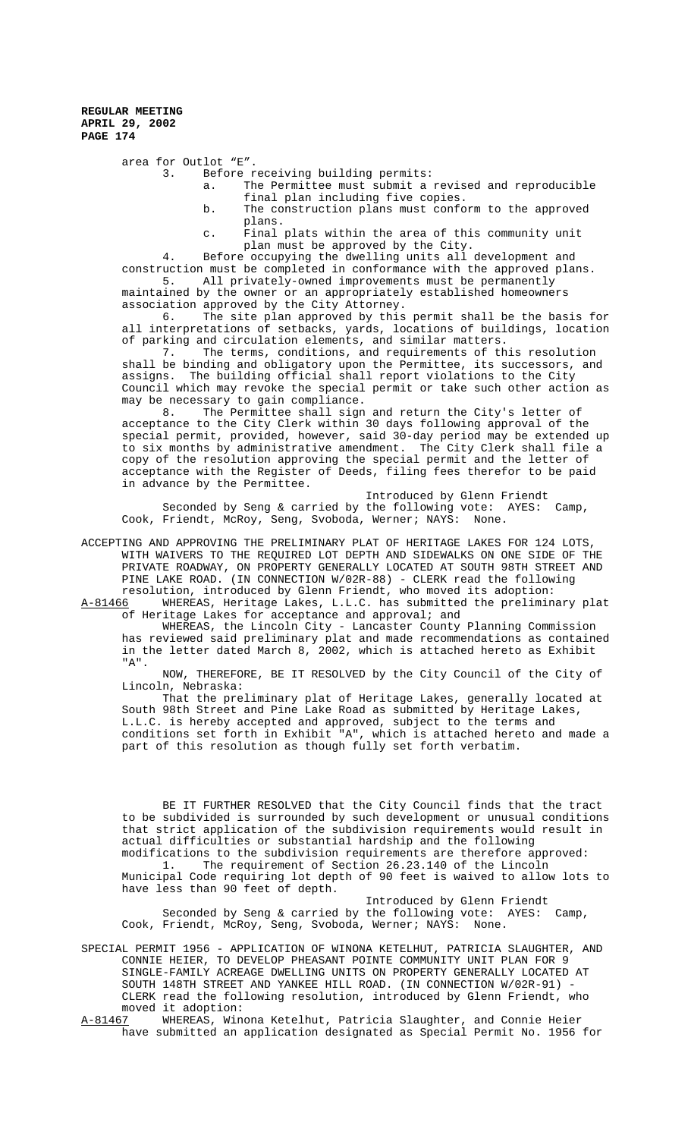area for Outlot "E".

3. Before receiving building permits:

- a. The Permittee must submit a revised and reproducible final plan including five copies.
- b. The construction plans must conform to the approved plans.
- c. Final plats within the area of this community unit plan must be approved by the City.

4. Before occupying the dwelling units all development and construction must be completed in conformance with the approved plans. 5. All privately-owned improvements must be permanently

maintained by the owner or an appropriately established homeowners association approved by the City Attorney.

6. The site plan approved by this permit shall be the basis for all interpretations of setbacks, yards, locations of buildings, location of parking and circulation elements, and similar matters.

7. The terms, conditions, and requirements of this resolution shall be binding and obligatory upon the Permittee, its successors, and assigns. The building official shall report violations to the City Council which may revoke the special permit or take such other action as may be necessary to gain compliance.<br>8. The Permittee shall sign

The Permittee shall sign and return the City's letter of acceptance to the City Clerk within 30 days following approval of the special permit, provided, however, said 30-day period may be extended up to six months by administrative amendment. The City Clerk shall file a copy of the resolution approving the special permit and the letter of acceptance with the Register of Deeds, filing fees therefor to be paid in advance by the Permittee.

Introduced by Glenn Friendt Seconded by Seng & carried by the following vote: AYES: Camp, Cook, Friendt, McRoy, Seng, Svoboda, Werner; NAYS: None.

ACCEPTING AND APPROVING THE PRELIMINARY PLAT OF HERITAGE LAKES FOR 124 LOTS, WITH WAIVERS TO THE REQUIRED LOT DEPTH AND SIDEWALKS ON ONE SIDE OF THE PRIVATE ROADWAY, ON PROPERTY GENERALLY LOCATED AT SOUTH 98TH STREET AND PINE LAKE ROAD. (IN CONNECTION W/02R-88) - CLERK read the following resolution, introduced by Glenn Friendt, who moved its adoption:<br>A-81466 WHEREAS, Heritage Lakes, L.L.C. has submitted the prelimin

WHEREAS, Heritage Lakes, L.L.C. has submitted the preliminary plat of Heritage Lakes for acceptance and approval; and

WHEREAS, the Lincoln City - Lancaster County Planning Commission has reviewed said preliminary plat and made recommendations as contained in the letter dated March 8, 2002, which is attached hereto as Exhibit "A".

NOW, THEREFORE, BE IT RESOLVED by the City Council of the City of Lincoln, Nebraska:

That the preliminary plat of Heritage Lakes, generally located at South 98th Street and Pine Lake Road as submitted by Heritage Lakes, L.L.C. is hereby accepted and approved, subject to the terms and conditions set forth in Exhibit "A", which is attached hereto and made a part of this resolution as though fully set forth verbatim.

BE IT FURTHER RESOLVED that the City Council finds that the tract to be subdivided is surrounded by such development or unusual conditions that strict application of the subdivision requirements would result in actual difficulties or substantial hardship and the following modifications to the subdivision requirements are therefore approved:

1. The requirement of Section 26.23.140 of the Lincoln Municipal Code requiring lot depth of 90 feet is waived to allow lots to have less than 90 feet of depth.

Introduced by Glenn Friendt Seconded by Seng & carried by the following vote: AYES: Camp, Cook, Friendt, McRoy, Seng, Svoboda, Werner; NAYS: None.

SPECIAL PERMIT 1956 - APPLICATION OF WINONA KETELHUT, PATRICIA SLAUGHTER, AND CONNIE HEIER, TO DEVELOP PHEASANT POINTE COMMUNITY UNIT PLAN FOR 9 SINGLE-FAMILY ACREAGE DWELLING UNITS ON PROPERTY GENERALLY LOCATED AT SOUTH 148TH STREET AND YANKEE HILL ROAD. (IN CONNECTION W/02R-91) - CLERK read the following resolution, introduced by Glenn Friendt, who moved it adoption:<br>A-81467 WHEREAS, Win

WHEREAS, Winona Ketelhut, Patricia Slaughter, and Connie Heier have submitted an application designated as Special Permit No. 1956 for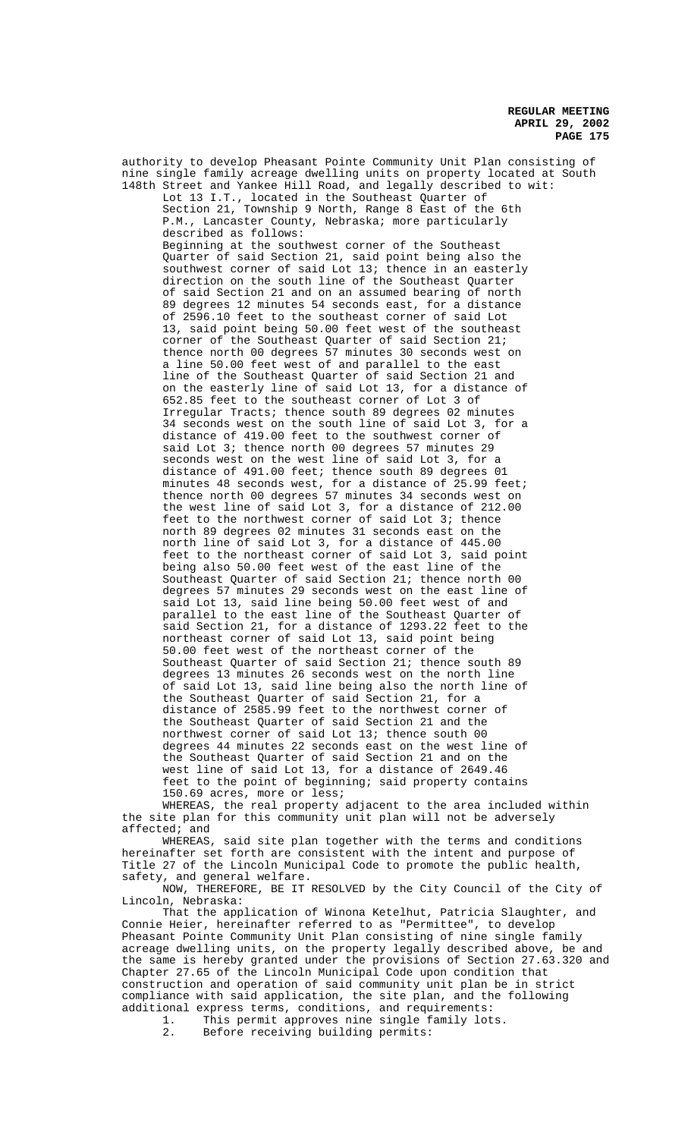authority to develop Pheasant Pointe Community Unit Plan consisting of nine single family acreage dwelling units on property located at South 148th Street and Yankee Hill Road, and legally described to wit: Lot 13 I.T., located in the Southeast Quarter of Section 21, Township 9 North, Range 8 East of the 6th P.M., Lancaster County, Nebraska; more particularly described as follows: Beginning at the southwest corner of the Southeast Quarter of said Section 21, said point being also the southwest corner of said Lot 13; thence in an easterly direction on the south line of the Southeast Quarter of said Section 21 and on an assumed bearing of north 89 degrees 12 minutes 54 seconds east, for a distance of 2596.10 feet to the southeast corner of said Lot 13, said point being 50.00 feet west of the southeast corner of the Southeast Quarter of said Section 21; thence north 00 degrees 57 minutes 30 seconds west on a line 50.00 feet west of and parallel to the east line of the Southeast Quarter of said Section 21 and on the easterly line of said Lot 13, for a distance of 652.85 feet to the southeast corner of Lot 3 of Irregular Tracts; thence south 89 degrees 02 minutes 34 seconds west on the south line of said Lot 3, for a distance of 419.00 feet to the southwest corner of said Lot 3; thence north 00 degrees 57 minutes 29 seconds west on the west line of said Lot 3, for a distance of 491.00 feet; thence south 89 degrees 01 minutes 48 seconds west, for a distance of 25.99 feet; thence north 00 degrees 57 minutes 34 seconds west on the west line of said Lot 3, for a distance of 212.00 feet to the northwest corner of said Lot 3; thence north 89 degrees 02 minutes 31 seconds east on the north line of said Lot 3, for a distance of 445.00 feet to the northeast corner of said Lot 3, said point being also 50.00 feet west of the east line of the Southeast Quarter of said Section 21; thence north 00 degrees 57 minutes 29 seconds west on the east line of said Lot 13, said line being 50.00 feet west of and parallel to the east line of the Southeast Quarter of said Section 21, for a distance of 1293.22 feet to the northeast corner of said Lot 13, said point being 50.00 feet west of the northeast corner of the Southeast Quarter of said Section 21; thence south 89 degrees 13 minutes 26 seconds west on the north line of said Lot 13, said line being also the north line of the Southeast Quarter of said Section 21, for a distance of 2585.99 feet to the northwest corner of the Southeast Quarter of said Section 21 and the northwest corner of said Lot 13; thence south 00 degrees 44 minutes 22 seconds east on the west line of the Southeast Quarter of said Section 21 and on the west line of said Lot 13, for a distance of 2649.46 feet to the point of beginning; said property contains 150.69 acres, more or less;

WHEREAS, the real property adjacent to the area included within the site plan for this community unit plan will not be adversely affected; and

WHEREAS, said site plan together with the terms and conditions hereinafter set forth are consistent with the intent and purpose of Title 27 of the Lincoln Municipal Code to promote the public health, safety, and general welfare.

NOW, THEREFORE, BE IT RESOLVED by the City Council of the City of Lincoln, Nebraska:

That the application of Winona Ketelhut, Patricia Slaughter, and Connie Heier, hereinafter referred to as "Permittee", to develop Pheasant Pointe Community Unit Plan consisting of nine single family acreage dwelling units, on the property legally described above, be and the same is hereby granted under the provisions of Section 27.63.320 and Chapter 27.65 of the Lincoln Municipal Code upon condition that construction and operation of said community unit plan be in strict compliance with said application, the site plan, and the following additional express terms, conditions, and requirements:<br>1. This permit approves nine single family lot

1. This permit approves nine single family lots.<br>2. Before receiving building permits: Before receiving building permits: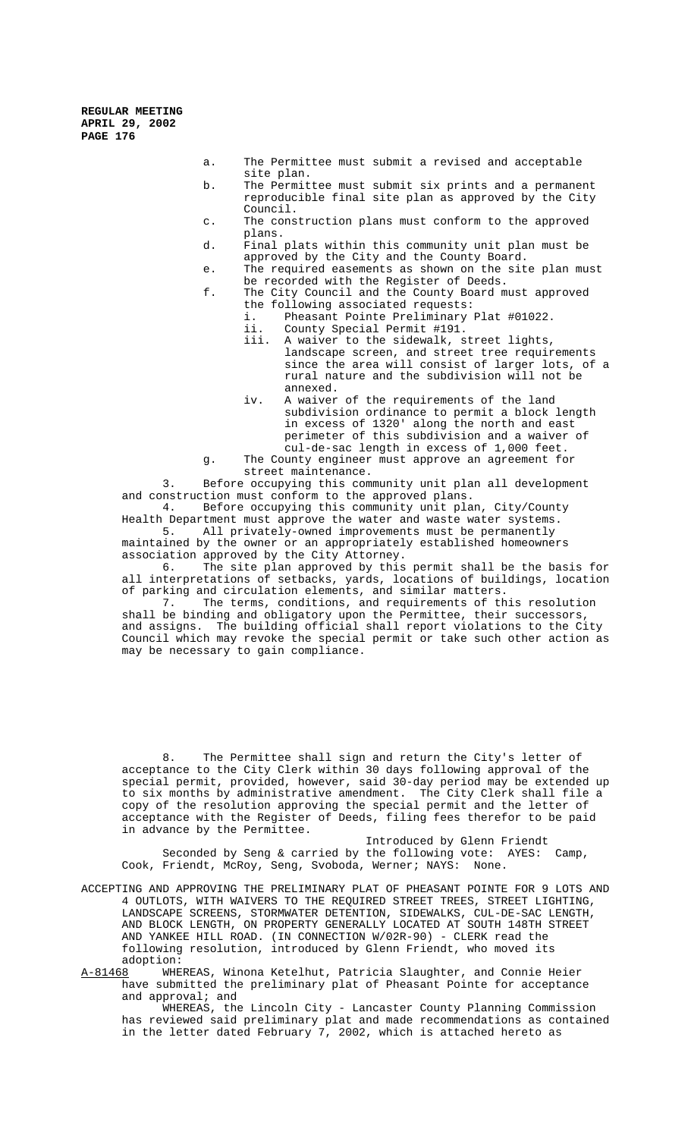> a. The Permittee must submit a revised and acceptable site plan.

- b. The Permittee must submit six prints and a permanent reproducible final site plan as approved by the City Council.
- c. The construction plans must conform to the approved plans.
- d. Final plats within this community unit plan must be approved by the City and the County Board.
- e. The required easements as shown on the site plan must be recorded with the Register of Deeds.
- f. The City Council and the County Board must approved the following associated requests:<br>i Pheasant Pointe Preliminary Pheasant Pointe Preliminary Plat #01022.
	- ii. County Special Permit #191.
	- iii. A waiver to the sidewalk, street lights, landscape screen, and street tree requirements since the area will consist of larger lots, of a rural nature and the subdivision will not be annexed.
	- iv. A waiver of the requirements of the land subdivision ordinance to permit a block length in excess of 1320' along the north and east perimeter of this subdivision and a waiver of cul-de-sac length in excess of 1,000 feet.
- g. The County engineer must approve an agreement for street maintenance.

3. Before occupying this community unit plan all development and construction must conform to the approved plans.

4. Before occupying this community unit plan, City/County Health Department must approve the water and waste water systems.<br>5. All privately-owned improvements must be permanently All privately-owned improvements must be permanently

maintained by the owner or an appropriately established homeowners association approved by the City Attorney.

6. The site plan approved by this permit shall be the basis for all interpretations of setbacks, yards, locations of buildings, location of parking and circulation elements, and similar matters.<br>7. The terms, conditions, and requirements of th

The terms, conditions, and requirements of this resolution shall be binding and obligatory upon the Permittee, their successors, and assigns. The building official shall report violations to the City Council which may revoke the special permit or take such other action as may be necessary to gain compliance.

8. The Permittee shall sign and return the City's letter of acceptance to the City Clerk within 30 days following approval of the special permit, provided, however, said 30-day period may be extended up to six months by administrative amendment. The City Clerk shall file a copy of the resolution approving the special permit and the letter of acceptance with the Register of Deeds, filing fees therefor to be paid in advance by the Permittee.

Introduced by Glenn Friendt Seconded by Seng & carried by the following vote: AYES: Camp, Cook, Friendt, McRoy, Seng, Svoboda, Werner; NAYS: None.

ACCEPTING AND APPROVING THE PRELIMINARY PLAT OF PHEASANT POINTE FOR 9 LOTS AND 4 OUTLOTS, WITH WAIVERS TO THE REQUIRED STREET TREES, STREET LIGHTING, LANDSCAPE SCREENS, STORMWATER DETENTION, SIDEWALKS, CUL-DE-SAC LENGTH, AND BLOCK LENGTH, ON PROPERTY GENERALLY LOCATED AT SOUTH 148TH STREET AND YANKEE HILL ROAD. (IN CONNECTION W/02R-90) - CLERK read the following resolution, introduced by Glenn Friendt, who moved its adoption:

A-81468 WHEREAS, Winona Ketelhut, Patricia Slaughter, and Connie Heier have submitted the preliminary plat of Pheasant Pointe for acceptance and approval; and

WHEREAS, the Lincoln City - Lancaster County Planning Commission has reviewed said preliminary plat and made recommendations as contained in the letter dated February 7, 2002, which is attached hereto as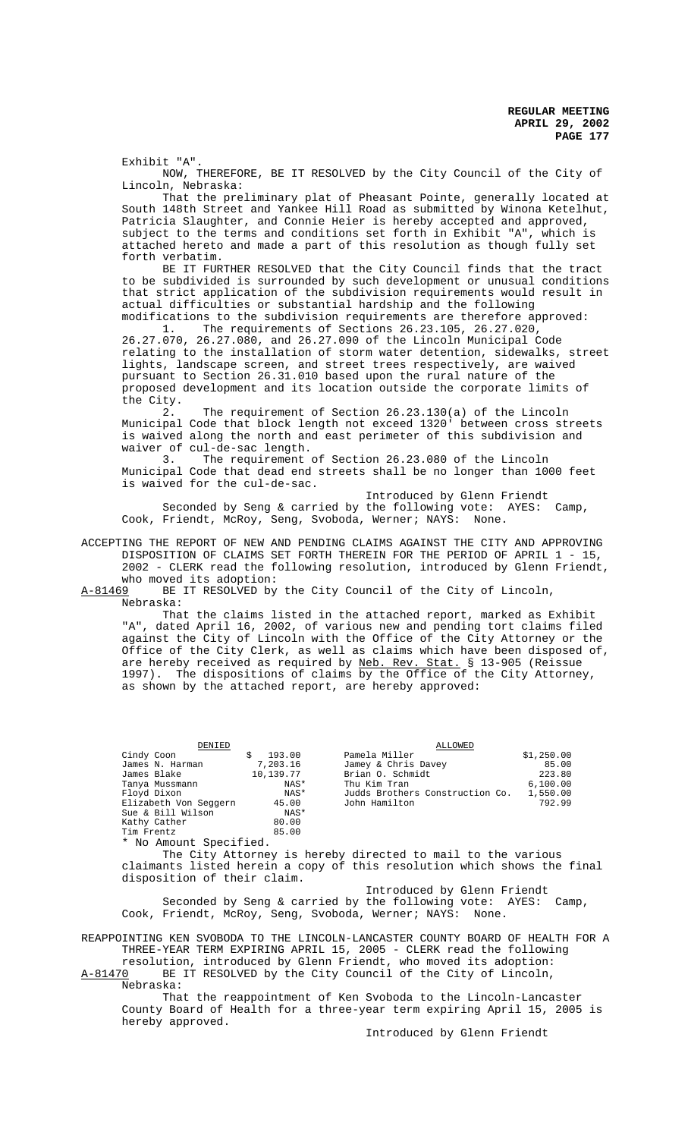Exhibit "A".

NOW, THEREFORE, BE IT RESOLVED by the City Council of the City of Lincoln, Nebraska:

That the preliminary plat of Pheasant Pointe, generally located at South 148th Street and Yankee Hill Road as submitted by Winona Ketelhut, Patricia Slaughter, and Connie Heier is hereby accepted and approved, subject to the terms and conditions set forth in Exhibit "A", which is attached hereto and made a part of this resolution as though fully set forth verbatim.

BE IT FURTHER RESOLVED that the City Council finds that the tract to be subdivided is surrounded by such development or unusual conditions that strict application of the subdivision requirements would result in actual difficulties or substantial hardship and the following modifications to the subdivision requirements are therefore approved:<br>The requirements of Sections 26.23.105. 26.27.020.

The requirements of Sections 26.23.105, 26.27.020, 26.27.070, 26.27.080, and 26.27.090 of the Lincoln Municipal Code relating to the installation of storm water detention, sidewalks, street lights, landscape screen, and street trees respectively, are waived pursuant to Section 26.31.010 based upon the rural nature of the proposed development and its location outside the corporate limits of the City.<br> $2.$ 

The requirement of Section 26.23.130(a) of the Lincoln Municipal Code that block length not exceed 1320' between cross streets is waived along the north and east perimeter of this subdivision and waiver of cul-de-sac length.<br>3. The requirement

The requirement of Section 26.23.080 of the Lincoln Municipal Code that dead end streets shall be no longer than 1000 feet is waived for the cul-de-sac.

Introduced by Glenn Friendt Seconded by Seng & carried by the following vote: AYES: Camp, Cook, Friendt, McRoy, Seng, Svoboda, Werner; NAYS: None.

ACCEPTING THE REPORT OF NEW AND PENDING CLAIMS AGAINST THE CITY AND APPROVING DISPOSITION OF CLAIMS SET FORTH THEREIN FOR THE PERIOD OF APRIL 1 - 15, 2002 - CLERK read the following resolution, introduced by Glenn Friendt,

who moved its adoption:<br>A-81469 BE IT RESOLVED by BE IT RESOLVED by the City Council of the City of Lincoln, Nebraska:

That the claims listed in the attached report, marked as Exhibit "A", dated April 16, 2002, of various new and pending tort claims filed against the City of Lincoln with the Office of the City Attorney or the Office of the City Clerk, as well as claims which have been disposed of, are hereby received as required by Neb. Rev. Stat. § 13-905 (Reissue 1997). The dispositions of claims by the Office of the City Attorney, as shown by the attached report, are hereby approved:

| DENIED                 |           | ALLOWED                                                                           |            |
|------------------------|-----------|-----------------------------------------------------------------------------------|------------|
| Cindy Coon             | 193.00    | Pamela Miller                                                                     | \$1,250.00 |
| James N. Harman        | 7,203.16  | Jamey & Chris Davey                                                               | 85.00      |
| James Blake            | 10,139.77 | Brian O. Schmidt                                                                  | 223.80     |
| Tanya Mussmann         | NAS*      | Thu Kim Tran                                                                      | 6,100.00   |
| Floyd Dixon            | NAS*      | Judds Brothers Construction Co.                                                   | 1,550.00   |
| Elizabeth Von Seggern  | 45.00     | John Hamilton                                                                     | 792.99     |
| Sue & Bill Wilson      | NAS*      |                                                                                   |            |
| Kathy Cather           | 80.00     |                                                                                   |            |
| Tim Frentz             | 85.00     |                                                                                   |            |
| * No Amount Specified. |           |                                                                                   |            |
|                        |           | The $Q_{\text{max}}$ , $\lambda$ ++emper is hembredimented to mail to the manique |            |

City Attorney is hereby directed to mail to the various claimants listed herein a copy of this resolution which shows the final disposition of their claim.

Introduced by Glenn Friendt Seconded by Seng & carried by the following vote: AYES: Camp, Cook, Friendt, McRoy, Seng, Svoboda, Werner; NAYS: None.

REAPPOINTING KEN SVOBODA TO THE LINCOLN-LANCASTER COUNTY BOARD OF HEALTH FOR A THREE-YEAR TERM EXPIRING APRIL 15, 2005 - CLERK read the following resolution, introduced by Glenn Friendt, who moved its adoption:

A-81470 BE IT RESOLVED by the City Council of the City of Lincoln, Nebraska:

That the reappointment of Ken Svoboda to the Lincoln-Lancaster County Board of Health for a three-year term expiring April 15, 2005 is hereby approved.

Introduced by Glenn Friendt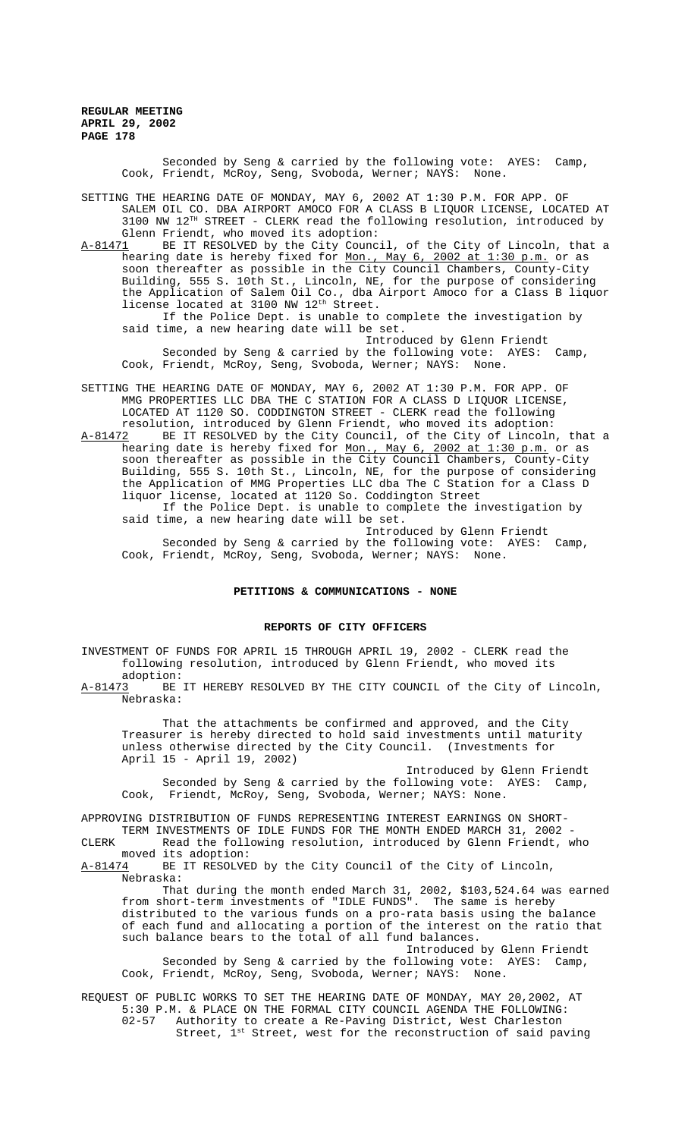> Seconded by Seng & carried by the following vote: AYES: Camp, Cook, Friendt, McRoy, Seng, Svoboda, Werner; NAYS: None.

SETTING THE HEARING DATE OF MONDAY, MAY 6, 2002 AT 1:30 P.M. FOR APP. OF SALEM OIL CO. DBA AIRPORT AMOCO FOR A CLASS B LIQUOR LICENSE, LOCATED AT 3100 NW 12TH STREET - CLERK read the following resolution, introduced by Glenn Friendt, who moved its adoption:

A-81471 BE IT RESOLVED by the City Council, of the City of Lincoln, that a hearing date is hereby fixed for Mon., May 6, 2002 at 1:30 p.m. or as soon thereafter as possible in the City Council Chambers, County-City Building, 555 S. 10th St., Lincoln, NE, for the purpose of considering the Application of Salem Oil Co., dba Airport Amoco for a Class B liquor license located at 3100 NW 12<sup>th</sup> Street.

If the Police Dept. is unable to complete the investigation by said time, a new hearing date will be set.

Introduced by Glenn Friendt Seconded by Seng & carried by the following vote: AYES: Camp, Cook, Friendt, McRoy, Seng, Svoboda, Werner; NAYS: None.

SETTING THE HEARING DATE OF MONDAY, MAY 6, 2002 AT 1:30 P.M. FOR APP. OF MMG PROPERTIES LLC DBA THE C STATION FOR A CLASS D LIQUOR LICENSE, LOCATED AT 1120 SO. CODDINGTON STREET - CLERK read the following

resolution, introduced by Glenn Friendt, who moved its adoption:<br>A-81472 BE IT RESOLVED by the City Council, of the City of Lincoln BE IT RESOLVED by the City Council, of the City of Lincoln, that a hearing date is hereby fixed for <u>Mon., May 6, 2002 at 1:30 p.m.</u> or as soon thereafter as possible in the City Council Chambers, County-City Building, 555 S. 10th St., Lincoln, NE, for the purpose of considering the Application of MMG Properties LLC dba The C Station for a Class D liquor license, located at 1120 So. Coddington Street

If the Police Dept. is unable to complete the investigation by said time, a new hearing date will be set.

Introduced by Glenn Friendt Seconded by Seng & carried by the following vote: AYES: Camp, Cook, Friendt, McRoy, Seng, Svoboda, Werner; NAYS: None.

# **PETITIONS & COMMUNICATIONS - NONE**

# **REPORTS OF CITY OFFICERS**

INVESTMENT OF FUNDS FOR APRIL 15 THROUGH APRIL 19, 2002 - CLERK read the following resolution, introduced by Glenn Friendt, who moved its adoption:

A-81473 BE IT HEREBY RESOLVED BY THE CITY COUNCIL of the City of Lincoln, Nebraska:

That the attachments be confirmed and approved, and the City Treasurer is hereby directed to hold said investments until maturity unless otherwise directed by the City Council. (Investments for April 15 - April 19, 2002)

Introduced by Glenn Friendt Seconded by Seng & carried by the following vote: AYES: Camp, Cook, Friendt, McRoy, Seng, Svoboda, Werner; NAYS: None.

APPROVING DISTRIBUTION OF FUNDS REPRESENTING INTEREST EARNINGS ON SHORT-TERM INVESTMENTS OF IDLE FUNDS FOR THE MONTH ENDED MARCH 31, 2002 -

CLERK Read the following resolution, introduced by Glenn Friendt, who moved its adoption:<br>A-81474 BE IT RESOLVE

BE IT RESOLVED by the City Council of the City of Lincoln, Nebraska:

That during the month ended March 31, 2002, \$103,524.64 was earned from short-term investments of "IDLE FUNDS". The same is hereby distributed to the various funds on a pro-rata basis using the balance of each fund and allocating a portion of the interest on the ratio that such balance bears to the total of all fund balances.

Introduced by Glenn Friendt Seconded by Seng & carried by the following vote: AYES: Camp, Cook, Friendt, McRoy, Seng, Svoboda, Werner; NAYS: None.

REQUEST OF PUBLIC WORKS TO SET THE HEARING DATE OF MONDAY, MAY 20,2002, AT 5:30 P.M. & PLACE ON THE FORMAL CITY COUNCIL AGENDA THE FOLLOWING:<br>02-57 Authority to create a Re-Paving District, West Charleston Authority to create a Re-Paving District, West Charleston Street,  $1^{st}$  Street, west for the reconstruction of said paving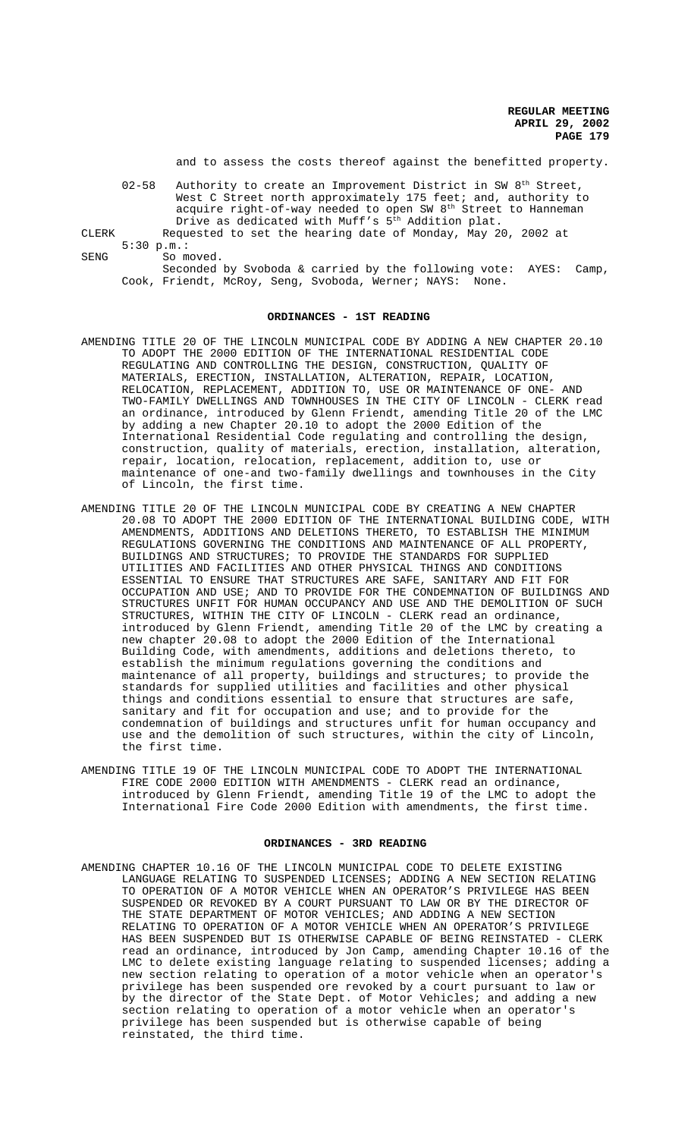and to assess the costs thereof against the benefitted property.

|       | $02 - 58$ | Authority to create an Improvement District in SW 8 <sup>th</sup> Street, |
|-------|-----------|---------------------------------------------------------------------------|
|       |           | West C Street north approximately 175 feet; and, authority to             |
|       |           | acquire right-of-way needed to open SW $8th$ Street to Hanneman           |
|       |           | Drive as dedicated with Muff's 5 <sup>th</sup> Addition plat.             |
| CLERK |           | Requested to set the hearing date of Monday, May 20, 2002 at              |
|       |           | 5:30 p.m.:                                                                |

SENG So moved.

Seconded by Svoboda & carried by the following vote: AYES: Camp, Cook, Friendt, McRoy, Seng, Svoboda, Werner; NAYS: None.

#### **ORDINANCES - 1ST READING**

- AMENDING TITLE 20 OF THE LINCOLN MUNICIPAL CODE BY ADDING A NEW CHAPTER 20.10 TO ADOPT THE 2000 EDITION OF THE INTERNATIONAL RESIDENTIAL CODE REGULATING AND CONTROLLING THE DESIGN, CONSTRUCTION, QUALITY OF MATERIALS, ERECTION, INSTALLATION, ALTERATION, REPAIR, LOCATION, RELOCATION, REPLACEMENT, ADDITION TO, USE OR MAINTENANCE OF ONE- AND TWO-FAMILY DWELLINGS AND TOWNHOUSES IN THE CITY OF LINCOLN - CLERK read an ordinance, introduced by Glenn Friendt, amending Title 20 of the LMC by adding a new Chapter 20.10 to adopt the 2000 Edition of the International Residential Code regulating and controlling the design, construction, quality of materials, erection, installation, alteration, repair, location, relocation, replacement, addition to, use or maintenance of one-and two-family dwellings and townhouses in the City of Lincoln, the first time.
- AMENDING TITLE 20 OF THE LINCOLN MUNICIPAL CODE BY CREATING A NEW CHAPTER 20.08 TO ADOPT THE 2000 EDITION OF THE INTERNATIONAL BUILDING CODE, WITH AMENDMENTS, ADDITIONS AND DELETIONS THERETO, TO ESTABLISH THE MINIMUM REGULATIONS GOVERNING THE CONDITIONS AND MAINTENANCE OF ALL PROPERTY, BUILDINGS AND STRUCTURES; TO PROVIDE THE STANDARDS FOR SUPPLIED UTILITIES AND FACILITIES AND OTHER PHYSICAL THINGS AND CONDITIONS ESSENTIAL TO ENSURE THAT STRUCTURES ARE SAFE, SANITARY AND FIT FOR OCCUPATION AND USE; AND TO PROVIDE FOR THE CONDEMNATION OF BUILDINGS AND STRUCTURES UNFIT FOR HUMAN OCCUPANCY AND USE AND THE DEMOLITION OF SUCH STRUCTURES, WITHIN THE CITY OF LINCOLN - CLERK read an ordinance, introduced by Glenn Friendt, amending Title 20 of the LMC by creating a new chapter 20.08 to adopt the 2000 Edition of the International Building Code, with amendments, additions and deletions thereto, to establish the minimum regulations governing the conditions and maintenance of all property, buildings and structures; to provide the standards for supplied utilities and facilities and other physical things and conditions essential to ensure that structures are safe, sanitary and fit for occupation and use; and to provide for the condemnation of buildings and structures unfit for human occupancy and use and the demolition of such structures, within the city of Lincoln, the first time.
- AMENDING TITLE 19 OF THE LINCOLN MUNICIPAL CODE TO ADOPT THE INTERNATIONAL FIRE CODE 2000 EDITION WITH AMENDMENTS - CLERK read an ordinance, introduced by Glenn Friendt, amending Title 19 of the LMC to adopt the International Fire Code 2000 Edition with amendments, the first time.

# **ORDINANCES - 3RD READING**

AMENDING CHAPTER 10.16 OF THE LINCOLN MUNICIPAL CODE TO DELETE EXISTING LANGUAGE RELATING TO SUSPENDED LICENSES; ADDING A NEW SECTION RELATING TO OPERATION OF A MOTOR VEHICLE WHEN AN OPERATOR'S PRIVILEGE HAS BEEN SUSPENDED OR REVOKED BY A COURT PURSUANT TO LAW OR BY THE DIRECTOR OF THE STATE DEPARTMENT OF MOTOR VEHICLES; AND ADDING A NEW SECTION RELATING TO OPERATION OF A MOTOR VEHICLE WHEN AN OPERATOR'S PRIVILEGE HAS BEEN SUSPENDED BUT IS OTHERWISE CAPABLE OF BEING REINSTATED - CLERK read an ordinance, introduced by Jon Camp, amending Chapter 10.16 of the LMC to delete existing language relating to suspended licenses; adding a new section relating to operation of a motor vehicle when an operator's privilege has been suspended ore revoked by a court pursuant to law or by the director of the State Dept. of Motor Vehicles; and adding a new section relating to operation of a motor vehicle when an operator's privilege has been suspended but is otherwise capable of being reinstated, the third time.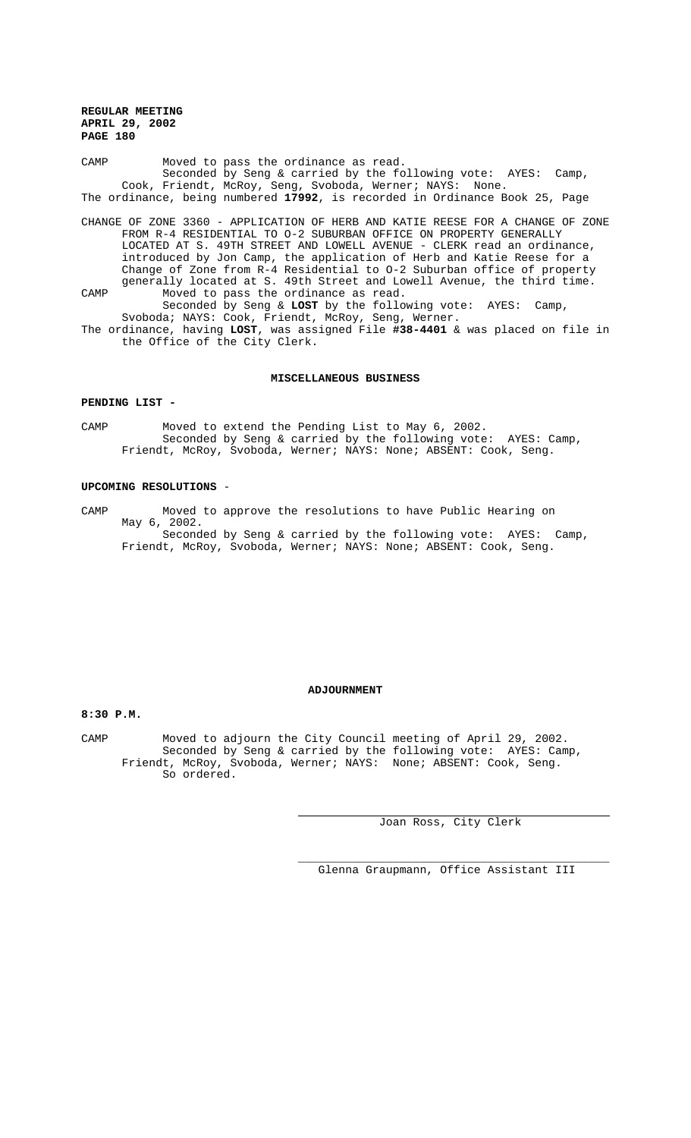CAMP Moved to pass the ordinance as read. Seconded by Seng & carried by the following vote: AYES: Camp, Cook, Friendt, McRoy, Seng, Svoboda, Werner; NAYS: None. The ordinance, being numbered **17992**, is recorded in Ordinance Book 25, Page

CHANGE OF ZONE 3360 - APPLICATION OF HERB AND KATIE REESE FOR A CHANGE OF ZONE FROM R-4 RESIDENTIAL TO O-2 SUBURBAN OFFICE ON PROPERTY GENERALLY LOCATED AT S. 49TH STREET AND LOWELL AVENUE - CLERK read an ordinance, introduced by Jon Camp, the application of Herb and Katie Reese for a Change of Zone from R-4 Residential to O-2 Suburban office of property generally located at S. 49th Street and Lowell Avenue, the third time. CAMP Moved to pass the ordinance as read. Seconded by Seng & **LOST** by the following vote: AYES: Camp,

Svoboda; NAYS: Cook, Friendt, McRoy, Seng, Werner. The ordinance, having **LOST**, was assigned File **#38-4401** & was placed on file in the Office of the City Clerk.

## **MISCELLANEOUS BUSINESS**

#### **PENDING LIST -**

CAMP Moved to extend the Pending List to May 6, 2002. Seconded by Seng & carried by the following vote: AYES: Camp, Friendt, McRoy, Svoboda, Werner; NAYS: None; ABSENT: Cook, Seng.

# **UPCOMING RESOLUTIONS** -

CAMP Moved to approve the resolutions to have Public Hearing on May 6, 2002. Seconded by Seng & carried by the following vote: AYES: Camp, Friendt, McRoy, Svoboda, Werner; NAYS: None; ABSENT: Cook, Seng.

### **ADJOURNMENT**

# **8:30 P.M.**

CAMP Moved to adjourn the City Council meeting of April 29, 2002. Seconded by Seng & carried by the following vote: AYES: Camp, Friendt, McRoy, Svoboda, Werner; NAYS: None; ABSENT: Cook, Seng. So ordered.

 $\overline{a}$ 

Joan Ross, City Clerk

\_\_\_\_\_\_\_\_\_\_\_\_\_\_\_\_\_\_\_\_\_\_\_\_\_\_\_\_\_\_\_\_\_\_\_\_\_\_\_\_\_\_\_\_\_\_ Glenna Graupmann, Office Assistant III